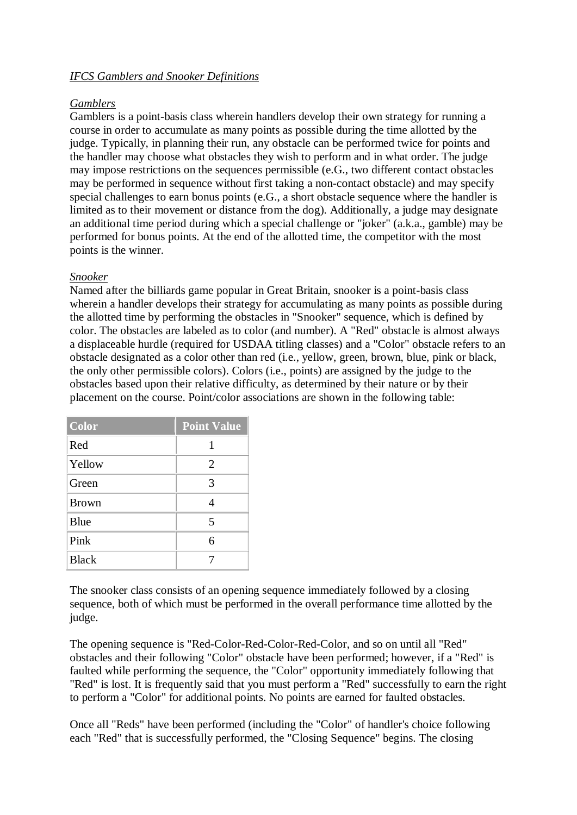## *IFCS Gamblers and Snooker Definitions*

## *Gamblers*

Gamblers is a point-basis class wherein handlers develop their own strategy for running a course in order to accumulate as many points as possible during the time allotted by the judge. Typically, in planning their run, any obstacle can be performed twice for points and the handler may choose what obstacles they wish to perform and in what order. The judge may impose restrictions on the sequences permissible (e.G., two different contact obstacles may be performed in sequence without first taking a non-contact obstacle) and may specify special challenges to earn bonus points (e.G., a short obstacle sequence where the handler is limited as to their movement or distance from the dog). Additionally, a judge may designate an additional time period during which a special challenge or "joker" (a.k.a., gamble) may be performed for bonus points. At the end of the allotted time, the competitor with the most points is the winner.

## *Snooker*

Named after the billiards game popular in Great Britain, snooker is a point-basis class wherein a handler develops their strategy for accumulating as many points as possible during the allotted time by performing the obstacles in "Snooker" sequence, which is defined by color. The obstacles are labeled as to color (and number). A "Red" obstacle is almost always a displaceable hurdle (required for USDAA titling classes) and a "Color" obstacle refers to an obstacle designated as a color other than red (i.e., yellow, green, brown, blue, pink or black, the only other permissible colors). Colors (i.e., points) are assigned by the judge to the obstacles based upon their relative difficulty, as determined by their nature or by their placement on the course. Point/color associations are shown in the following table:

| <b>Color</b> | <b>Point Value</b>      |
|--------------|-------------------------|
| Red          |                         |
| Yellow       | 2                       |
| Green        | 3                       |
| <b>Brown</b> |                         |
| Blue         | $\overline{\mathbf{5}}$ |
| Pink         | 6                       |
| <b>Black</b> |                         |

The snooker class consists of an opening sequence immediately followed by a closing sequence, both of which must be performed in the overall performance time allotted by the judge.

The opening sequence is "Red-Color-Red-Color-Red-Color, and so on until all "Red" obstacles and their following "Color" obstacle have been performed; however, if a "Red" is faulted while performing the sequence, the "Color" opportunity immediately following that "Red" is lost. It is frequently said that you must perform a "Red" successfully to earn the right to perform a "Color" for additional points. No points are earned for faulted obstacles.

Once all "Reds" have been performed (including the "Color" of handler's choice following each "Red" that is successfully performed, the "Closing Sequence" begins. The closing